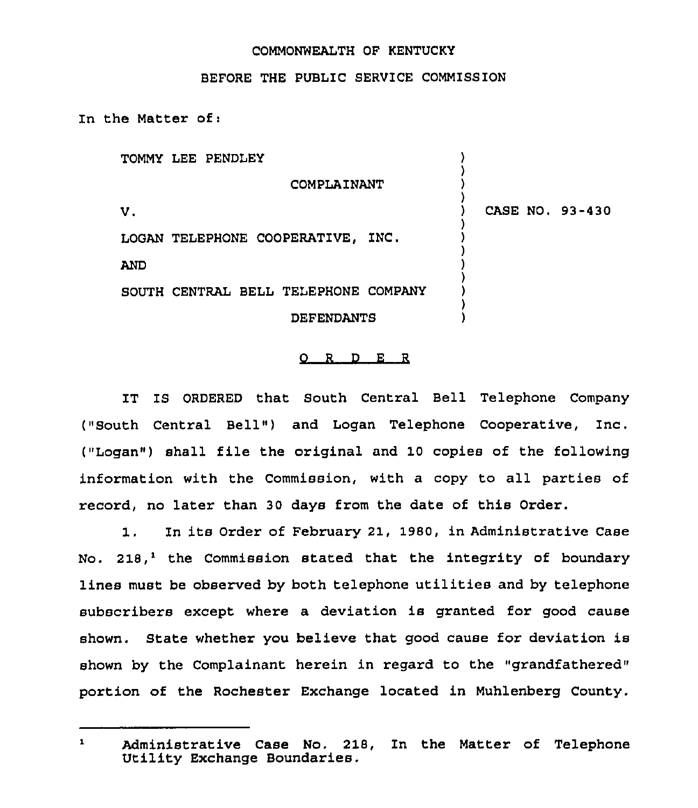## COMMONWEALTH OF KENTUCKY

## BEFORE THE PUBLIC SERVICE COMMISSION

In the Matter of:

TOMMY LEE PENDLEY

COMPLAINANT

 $\mathbf{v}$ .

) CASE NO, 93-430

) ) ) )

> ) ) ) ) ) ) ) )

LOGAN TELEPHONE COOPERATIVE, INC. AND

SOUTH CENTRAL BELL TELEPHONE COMPANY

DEFENDANTS

## 0 <sup>R</sup> <sup>D</sup> <sup>E</sup> <sup>R</sup>

IT IS ORDERED that South Central Bell Telephone Company ("South Central Bell" ) and Logan Telephone Cooperative, Inc. ("Logan") shall file the original and 10 copies of the following information with the Commission, with a copy to all parties of record, no later than 30 days from the date of this Order.

1. In its Order of February 21, 1980, in Administrative Case No. 218,<sup>1</sup> the Commission stated that the integrity of boundary lines must be observed by both telephone utilities and by telephone subscribers except where a deviation is granted for good cause shown. State whether you believe that good cause for deviation is shown by the Complainant herein in regard to the "grandfathered" portion of the Rochester Exchange located in Muhlenberg County.

 $\mathbf{1}$ Administrative Case No. 218, ln the Matter of Telephone Utility Exchange Boundaries.